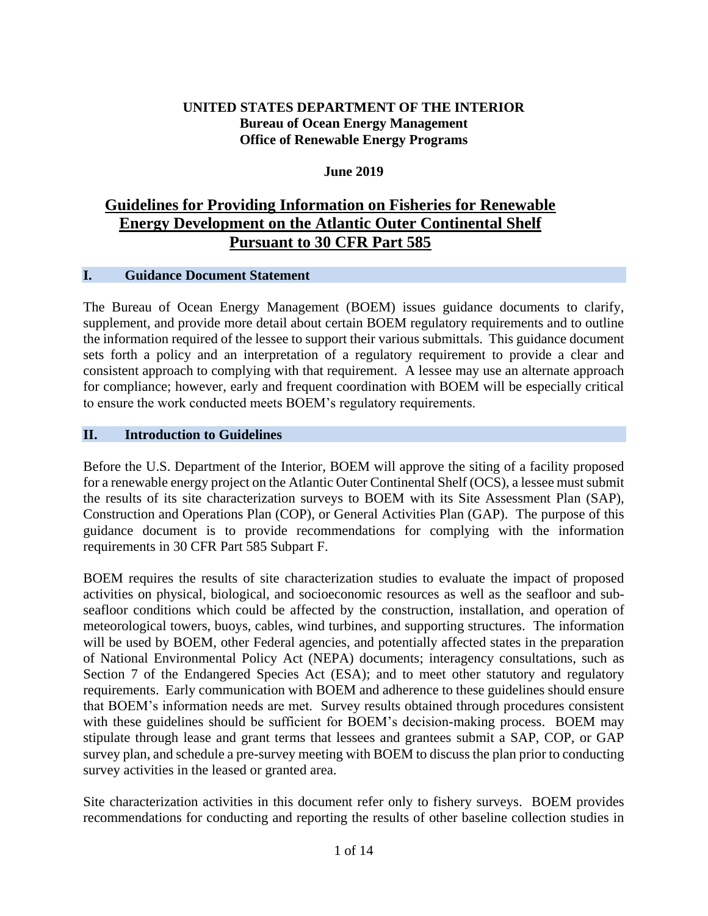### **UNITED STATES DEPARTMENT OF THE INTERIOR Bureau of Ocean Energy Management Office of Renewable Energy Programs**

### **June 2019**

## **Guidelines for Providing Information on Fisheries for Renewable Energy Development on the Atlantic Outer Continental Shelf Pursuant to 30 CFR Part 585**

### **I. Guidance Document Statement**

The Bureau of Ocean Energy Management (BOEM) issues guidance documents to clarify, supplement, and provide more detail about certain BOEM regulatory requirements and to outline the information required of the lessee to support their various submittals. This guidance document sets forth a policy and an interpretation of a regulatory requirement to provide a clear and consistent approach to complying with that requirement. A lessee may use an alternate approach for compliance; however, early and frequent coordination with BOEM will be especially critical to ensure the work conducted meets BOEM's regulatory requirements.

### **II. Introduction to Guidelines**

Before the U.S. Department of the Interior, BOEM will approve the siting of a facility proposed for a renewable energy project on the Atlantic Outer Continental Shelf (OCS), a lessee must submit the results of its site characterization surveys to BOEM with its Site Assessment Plan (SAP), Construction and Operations Plan (COP), or General Activities Plan (GAP). The purpose of this guidance document is to provide recommendations for complying with the information requirements in 30 CFR Part 585 Subpart F.

BOEM requires the results of site characterization studies to evaluate the impact of proposed activities on physical, biological, and socioeconomic resources as well as the seafloor and subseafloor conditions which could be affected by the construction, installation, and operation of meteorological towers, buoys, cables, wind turbines, and supporting structures. The information will be used by BOEM, other Federal agencies, and potentially affected states in the preparation of National Environmental Policy Act (NEPA) documents; interagency consultations, such as Section 7 of the Endangered Species Act (ESA); and to meet other statutory and regulatory requirements. Early communication with BOEM and adherence to these guidelines should ensure that BOEM's information needs are met. Survey results obtained through procedures consistent with these guidelines should be sufficient for BOEM's decision-making process. BOEM may stipulate through lease and grant terms that lessees and grantees submit a SAP, COP, or GAP survey plan, and schedule a pre-survey meeting with BOEM to discuss the plan prior to conducting survey activities in the leased or granted area.

Site characterization activities in this document refer only to fishery surveys. BOEM provides recommendations for conducting and reporting the results of other baseline collection studies in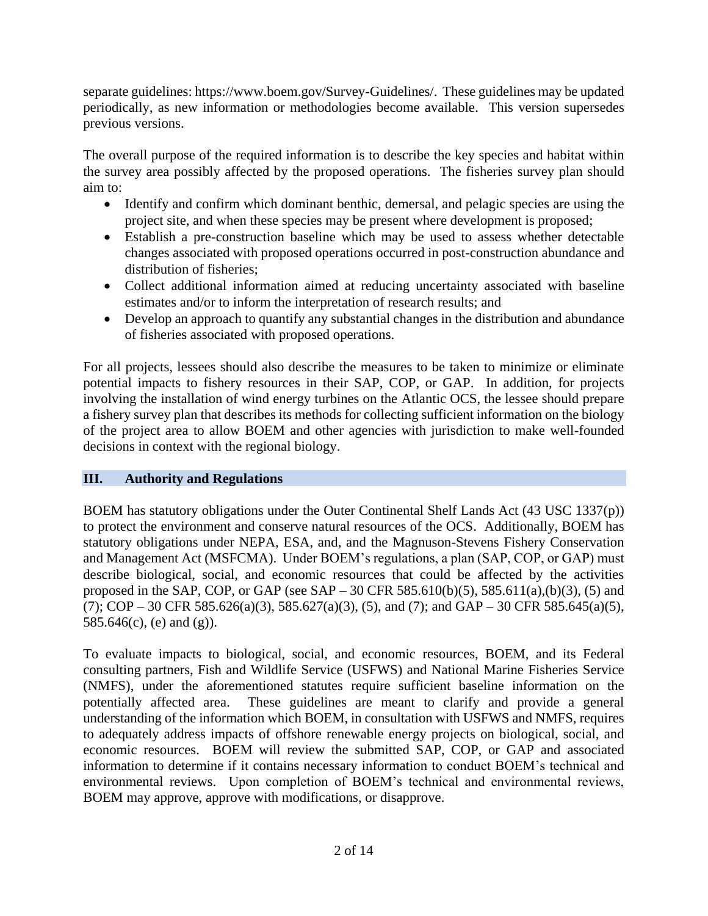separate guidelines: https://www.boem.gov/Survey-Guidelines/. These guidelines may be updated periodically, as new information or methodologies become available. This version supersedes previous versions.

The overall purpose of the required information is to describe the key species and habitat within the survey area possibly affected by the proposed operations. The fisheries survey plan should aim to:

- Identify and confirm which dominant benthic, demersal, and pelagic species are using the project site, and when these species may be present where development is proposed;
- Establish a pre-construction baseline which may be used to assess whether detectable changes associated with proposed operations occurred in post-construction abundance and distribution of fisheries;
- Collect additional information aimed at reducing uncertainty associated with baseline estimates and/or to inform the interpretation of research results; and
- Develop an approach to quantify any substantial changes in the distribution and abundance of fisheries associated with proposed operations.

For all projects, lessees should also describe the measures to be taken to minimize or eliminate potential impacts to fishery resources in their SAP, COP, or GAP. In addition, for projects involving the installation of wind energy turbines on the Atlantic OCS, the lessee should prepare a fishery survey plan that describes its methods for collecting sufficient information on the biology of the project area to allow BOEM and other agencies with jurisdiction to make well-founded decisions in context with the regional biology.

### **III. Authority and Regulations**

BOEM has statutory obligations under the Outer Continental Shelf Lands Act (43 USC 1337(p)) to protect the environment and conserve natural resources of the OCS. Additionally, BOEM has statutory obligations under NEPA, ESA, and, and the Magnuson-Stevens Fishery Conservation and Management Act (MSFCMA). Under BOEM's regulations, a plan (SAP, COP, or GAP) must describe biological, social, and economic resources that could be affected by the activities proposed in the SAP, COP, or GAP (see SAP – 30 CFR 585.610(b)(5), 585.611(a),(b)(3), (5) and  $(7)$ ; COP – 30 CFR 585.626(a)(3), 585.627(a)(3), (5), and (7); and GAP – 30 CFR 585.645(a)(5), 585.646(c), (e) and (g)).

To evaluate impacts to biological, social, and economic resources, BOEM, and its Federal consulting partners, Fish and Wildlife Service (USFWS) and National Marine Fisheries Service (NMFS), under the aforementioned statutes require sufficient baseline information on the potentially affected area. These guidelines are meant to clarify and provide a general understanding of the information which BOEM, in consultation with USFWS and NMFS, requires to adequately address impacts of offshore renewable energy projects on biological, social, and economic resources. BOEM will review the submitted SAP, COP, or GAP and associated information to determine if it contains necessary information to conduct BOEM's technical and environmental reviews. Upon completion of BOEM's technical and environmental reviews, BOEM may approve, approve with modifications, or disapprove.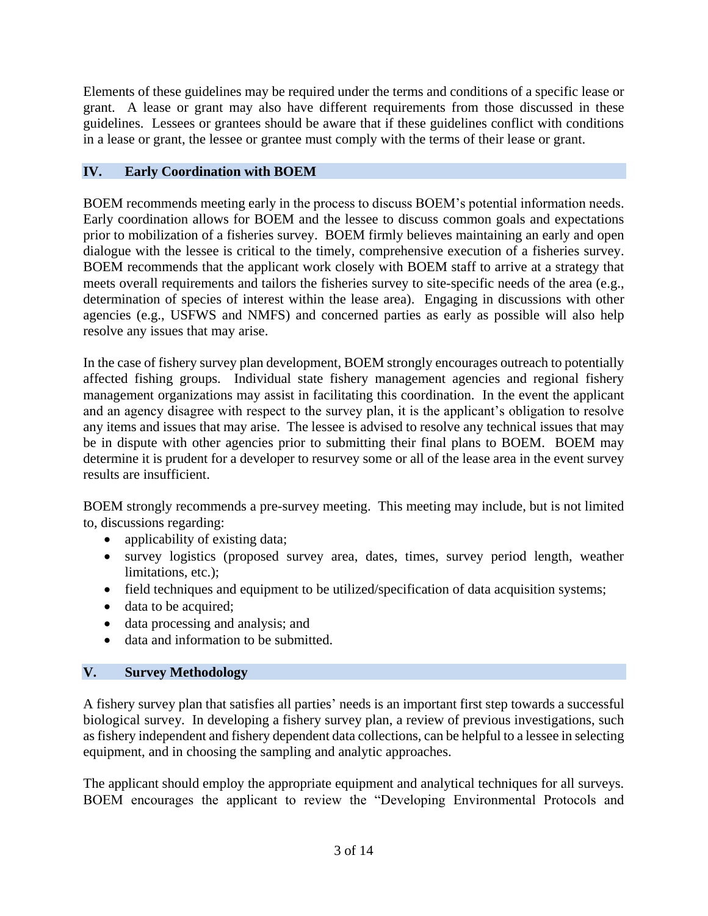Elements of these guidelines may be required under the terms and conditions of a specific lease or grant. A lease or grant may also have different requirements from those discussed in these guidelines. Lessees or grantees should be aware that if these guidelines conflict with conditions in a lease or grant, the lessee or grantee must comply with the terms of their lease or grant.

### **IV. Early Coordination with BOEM**

BOEM recommends meeting early in the process to discuss BOEM's potential information needs. Early coordination allows for BOEM and the lessee to discuss common goals and expectations prior to mobilization of a fisheries survey. BOEM firmly believes maintaining an early and open dialogue with the lessee is critical to the timely, comprehensive execution of a fisheries survey. BOEM recommends that the applicant work closely with BOEM staff to arrive at a strategy that meets overall requirements and tailors the fisheries survey to site-specific needs of the area (e.g., determination of species of interest within the lease area). Engaging in discussions with other agencies (e.g., USFWS and NMFS) and concerned parties as early as possible will also help resolve any issues that may arise.

In the case of fishery survey plan development, BOEM strongly encourages outreach to potentially affected fishing groups. Individual state fishery management agencies and regional fishery management organizations may assist in facilitating this coordination. In the event the applicant and an agency disagree with respect to the survey plan, it is the applicant's obligation to resolve any items and issues that may arise. The lessee is advised to resolve any technical issues that may be in dispute with other agencies prior to submitting their final plans to BOEM. BOEM may determine it is prudent for a developer to resurvey some or all of the lease area in the event survey results are insufficient.

BOEM strongly recommends a pre-survey meeting. This meeting may include, but is not limited to, discussions regarding:

- applicability of existing data;
- survey logistics (proposed survey area, dates, times, survey period length, weather limitations, etc.);
- field techniques and equipment to be utilized/specification of data acquisition systems;
- data to be acquired;
- data processing and analysis; and
- data and information to be submitted.

### **V. Survey Methodology**

A fishery survey plan that satisfies all parties' needs is an important first step towards a successful biological survey. In developing a fishery survey plan, a review of previous investigations, such as fishery independent and fishery dependent data collections, can be helpful to a lessee in selecting equipment, and in choosing the sampling and analytic approaches.

The applicant should employ the appropriate equipment and analytical techniques for all surveys. BOEM encourages the applicant to review the "Developing Environmental Protocols and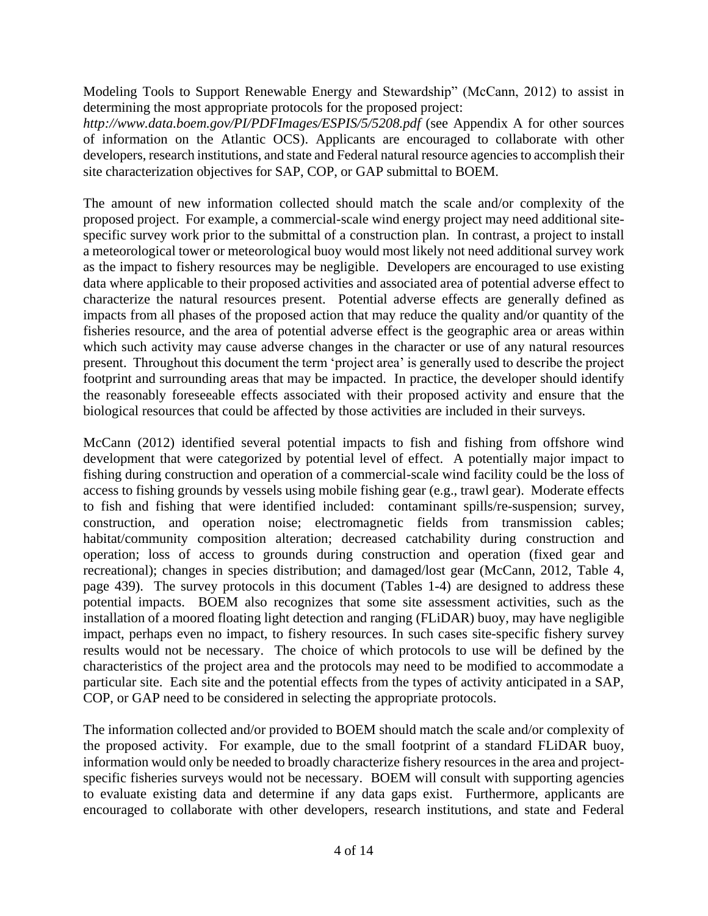Modeling Tools to Support Renewable Energy and Stewardship" (McCann, 2012) to assist in determining the most appropriate protocols for the proposed project:

*http://www.data.boem.gov/PI/PDFImages/ESPIS/5/5208.pdf* (see Appendix A for other sources of information on the Atlantic OCS). Applicants are encouraged to collaborate with other developers, research institutions, and state and Federal natural resource agencies to accomplish their site characterization objectives for SAP, COP, or GAP submittal to BOEM.

The amount of new information collected should match the scale and/or complexity of the proposed project. For example, a commercial-scale wind energy project may need additional sitespecific survey work prior to the submittal of a construction plan. In contrast, a project to install a meteorological tower or meteorological buoy would most likely not need additional survey work as the impact to fishery resources may be negligible. Developers are encouraged to use existing data where applicable to their proposed activities and associated area of potential adverse effect to characterize the natural resources present. Potential adverse effects are generally defined as impacts from all phases of the proposed action that may reduce the quality and/or quantity of the fisheries resource, and the area of potential adverse effect is the geographic area or areas within which such activity may cause adverse changes in the character or use of any natural resources present. Throughout this document the term 'project area' is generally used to describe the project footprint and surrounding areas that may be impacted. In practice, the developer should identify the reasonably foreseeable effects associated with their proposed activity and ensure that the biological resources that could be affected by those activities are included in their surveys.

McCann (2012) identified several potential impacts to fish and fishing from offshore wind development that were categorized by potential level of effect. A potentially major impact to fishing during construction and operation of a commercial-scale wind facility could be the loss of access to fishing grounds by vessels using mobile fishing gear (e.g., trawl gear). Moderate effects to fish and fishing that were identified included: contaminant spills/re-suspension; survey, construction, and operation noise; electromagnetic fields from transmission cables; habitat/community composition alteration; decreased catchability during construction and operation; loss of access to grounds during construction and operation (fixed gear and recreational); changes in species distribution; and damaged/lost gear (McCann, 2012, Table 4, page 439). The survey protocols in this document (Tables 1-4) are designed to address these potential impacts. BOEM also recognizes that some site assessment activities, such as the installation of a moored floating light detection and ranging (FLiDAR) buoy, may have negligible impact, perhaps even no impact, to fishery resources. In such cases site-specific fishery survey results would not be necessary. The choice of which protocols to use will be defined by the characteristics of the project area and the protocols may need to be modified to accommodate a particular site. Each site and the potential effects from the types of activity anticipated in a SAP, COP, or GAP need to be considered in selecting the appropriate protocols.

The information collected and/or provided to BOEM should match the scale and/or complexity of the proposed activity. For example, due to the small footprint of a standard FLiDAR buoy, information would only be needed to broadly characterize fishery resources in the area and projectspecific fisheries surveys would not be necessary. BOEM will consult with supporting agencies to evaluate existing data and determine if any data gaps exist. Furthermore, applicants are encouraged to collaborate with other developers, research institutions, and state and Federal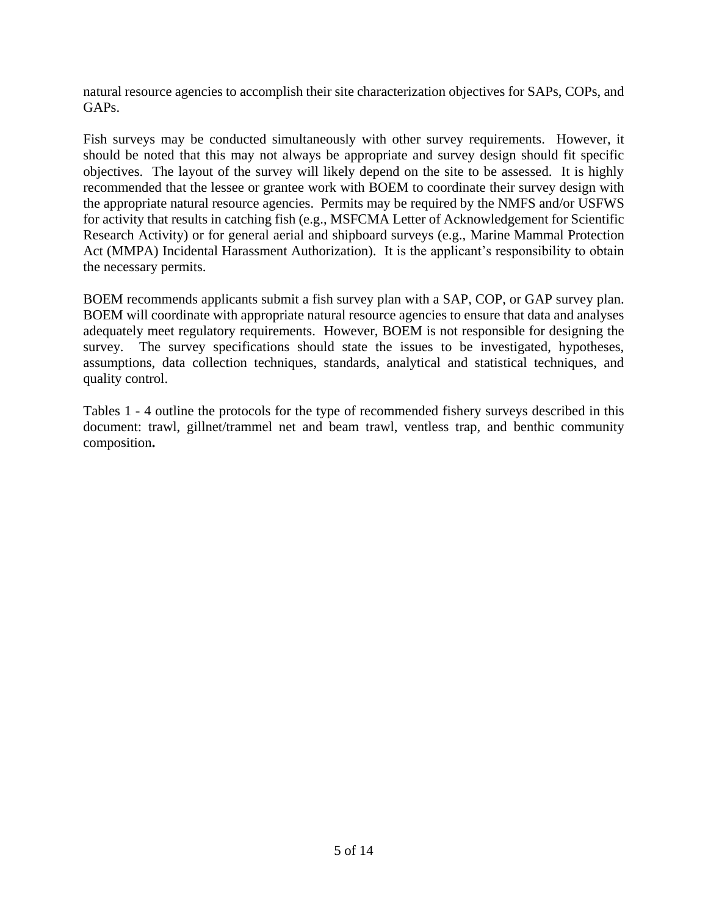natural resource agencies to accomplish their site characterization objectives for SAPs, COPs, and GAP<sub>s</sub>.

Fish surveys may be conducted simultaneously with other survey requirements. However, it should be noted that this may not always be appropriate and survey design should fit specific objectives. The layout of the survey will likely depend on the site to be assessed. It is highly recommended that the lessee or grantee work with BOEM to coordinate their survey design with the appropriate natural resource agencies. Permits may be required by the NMFS and/or USFWS for activity that results in catching fish (e.g., MSFCMA Letter of Acknowledgement for Scientific Research Activity) or for general aerial and shipboard surveys (e.g., Marine Mammal Protection Act (MMPA) Incidental Harassment Authorization). It is the applicant's responsibility to obtain the necessary permits.

BOEM recommends applicants submit a fish survey plan with a SAP, COP, or GAP survey plan. BOEM will coordinate with appropriate natural resource agencies to ensure that data and analyses adequately meet regulatory requirements. However, BOEM is not responsible for designing the survey. The survey specifications should state the issues to be investigated, hypotheses, assumptions, data collection techniques, standards, analytical and statistical techniques, and quality control.

Tables 1 - 4 outline the protocols for the type of recommended fishery surveys described in this document: trawl, gillnet/trammel net and beam trawl, ventless trap, and benthic community composition**.**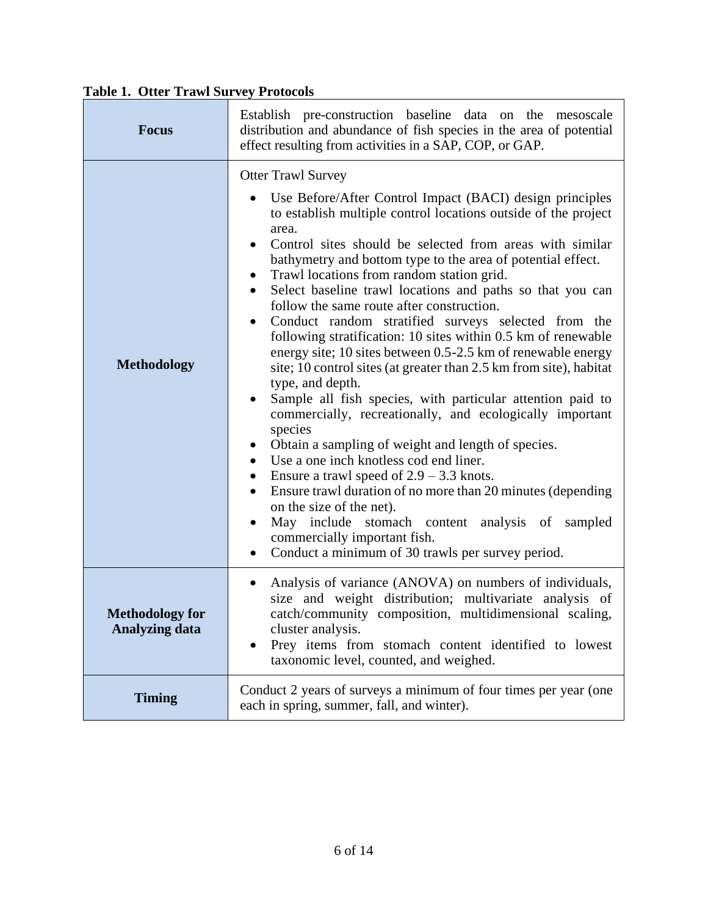| <b>Focus</b>                                    | Establish pre-construction baseline data on the mesoscale<br>distribution and abundance of fish species in the area of potential<br>effect resulting from activities in a SAP, COP, or GAP.                                                                                                                                                                                                                                                                                                                                                                                                                                                                                                                                                                                                                                                                                                                                                                                                                                                                                                                                                                                                                                                                                                                                                                                                  |  |
|-------------------------------------------------|----------------------------------------------------------------------------------------------------------------------------------------------------------------------------------------------------------------------------------------------------------------------------------------------------------------------------------------------------------------------------------------------------------------------------------------------------------------------------------------------------------------------------------------------------------------------------------------------------------------------------------------------------------------------------------------------------------------------------------------------------------------------------------------------------------------------------------------------------------------------------------------------------------------------------------------------------------------------------------------------------------------------------------------------------------------------------------------------------------------------------------------------------------------------------------------------------------------------------------------------------------------------------------------------------------------------------------------------------------------------------------------------|--|
| <b>Methodology</b>                              | <b>Otter Trawl Survey</b><br>Use Before/After Control Impact (BACI) design principles<br>to establish multiple control locations outside of the project<br>area.<br>Control sites should be selected from areas with similar<br>$\bullet$<br>bathymetry and bottom type to the area of potential effect.<br>Trawl locations from random station grid.<br>$\bullet$<br>Select baseline trawl locations and paths so that you can<br>$\bullet$<br>follow the same route after construction.<br>Conduct random stratified surveys selected from the<br>$\bullet$<br>following stratification: 10 sites within 0.5 km of renewable<br>energy site; 10 sites between 0.5-2.5 km of renewable energy<br>site; 10 control sites (at greater than 2.5 km from site), habitat<br>type, and depth.<br>Sample all fish species, with particular attention paid to<br>$\bullet$<br>commercially, recreationally, and ecologically important<br>species<br>Obtain a sampling of weight and length of species.<br>$\bullet$<br>Use a one inch knotless cod end liner.<br>$\bullet$<br>Ensure a trawl speed of $2.9 - 3.3$ knots.<br>$\bullet$<br>Ensure trawl duration of no more than 20 minutes (depending<br>$\bullet$<br>on the size of the net).<br>May include stomach content analysis of sampled<br>$\bullet$<br>commercially important fish.<br>Conduct a minimum of 30 trawls per survey period. |  |
| <b>Methodology for</b><br><b>Analyzing data</b> | Analysis of variance (ANOVA) on numbers of individuals,<br>$\bullet$<br>size and weight distribution; multivariate analysis of<br>catch/community composition, multidimensional scaling,<br>cluster analysis.<br>Prey items from stomach content identified to lowest<br>taxonomic level, counted, and weighed.                                                                                                                                                                                                                                                                                                                                                                                                                                                                                                                                                                                                                                                                                                                                                                                                                                                                                                                                                                                                                                                                              |  |
| <b>Timing</b>                                   | Conduct 2 years of surveys a minimum of four times per year (one<br>each in spring, summer, fall, and winter).                                                                                                                                                                                                                                                                                                                                                                                                                                                                                                                                                                                                                                                                                                                                                                                                                                                                                                                                                                                                                                                                                                                                                                                                                                                                               |  |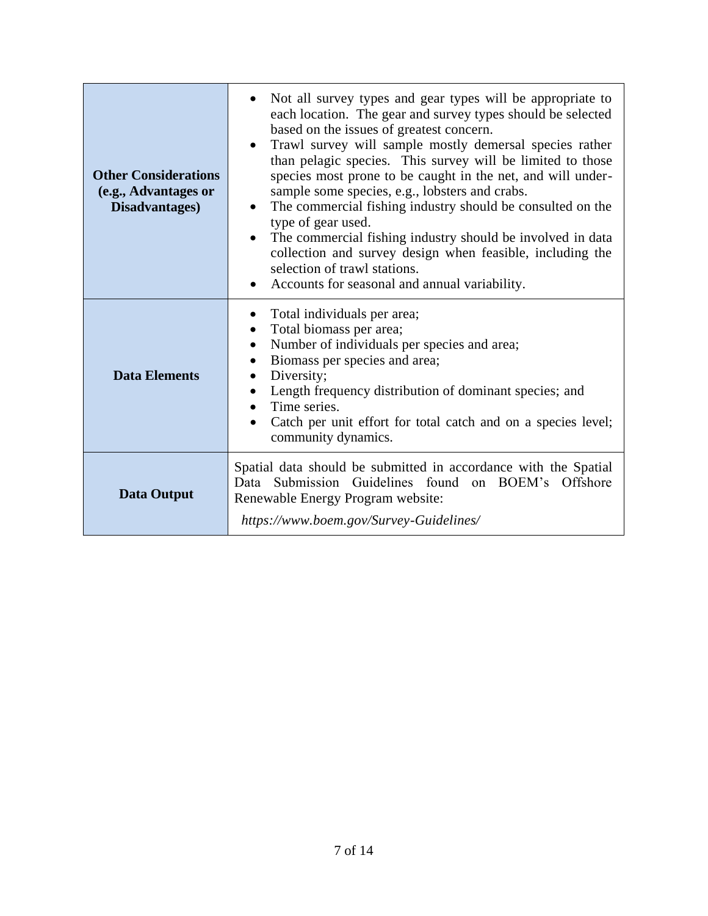| <b>Other Considerations</b><br>(e.g., Advantages or<br>Disadvantages) | Not all survey types and gear types will be appropriate to<br>each location. The gear and survey types should be selected<br>based on the issues of greatest concern.<br>Trawl survey will sample mostly demersal species rather<br>$\bullet$<br>than pelagic species. This survey will be limited to those<br>species most prone to be caught in the net, and will under-<br>sample some species, e.g., lobsters and crabs.<br>The commercial fishing industry should be consulted on the<br>$\bullet$<br>type of gear used.<br>The commercial fishing industry should be involved in data<br>collection and survey design when feasible, including the<br>selection of trawl stations.<br>Accounts for seasonal and annual variability.<br>$\bullet$ |
|-----------------------------------------------------------------------|--------------------------------------------------------------------------------------------------------------------------------------------------------------------------------------------------------------------------------------------------------------------------------------------------------------------------------------------------------------------------------------------------------------------------------------------------------------------------------------------------------------------------------------------------------------------------------------------------------------------------------------------------------------------------------------------------------------------------------------------------------|
| <b>Data Elements</b>                                                  | Total individuals per area;<br>$\bullet$<br>Total biomass per area;<br>$\bullet$<br>Number of individuals per species and area;<br>$\bullet$<br>Biomass per species and area;<br>$\bullet$<br>Diversity;<br>Length frequency distribution of dominant species; and<br>Time series.<br>Catch per unit effort for total catch and on a species level;<br>community dynamics.                                                                                                                                                                                                                                                                                                                                                                             |
| <b>Data Output</b>                                                    | Spatial data should be submitted in accordance with the Spatial<br>Submission Guidelines found<br>on BOEM's Offshore<br>Data<br>Renewable Energy Program website:<br>https://www.boem.gov/Survey-Guidelines/                                                                                                                                                                                                                                                                                                                                                                                                                                                                                                                                           |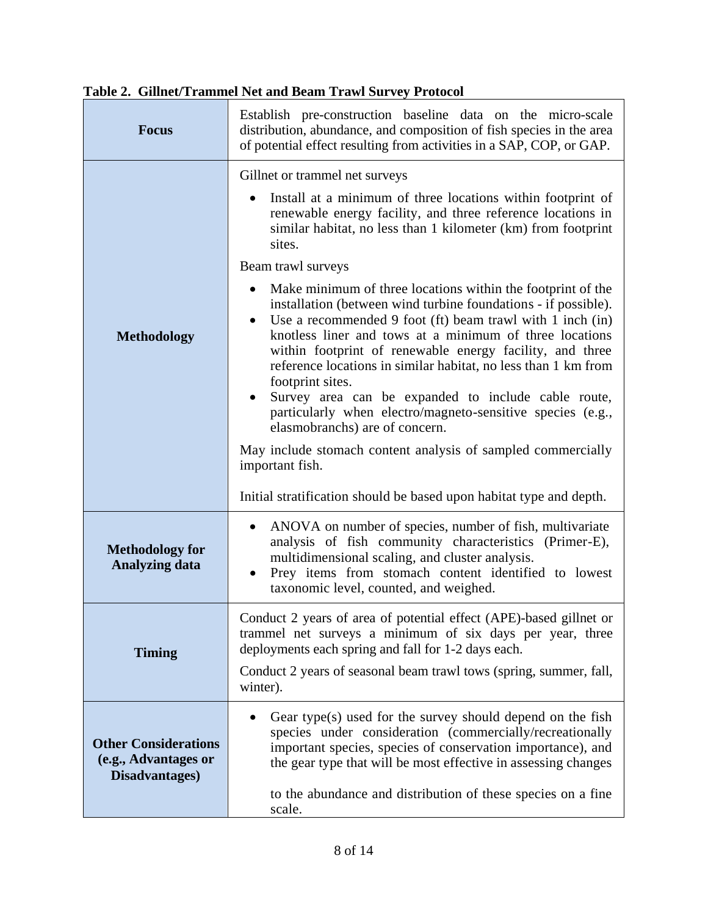| <b>Focus</b>                                                          | Establish pre-construction baseline data on the micro-scale<br>distribution, abundance, and composition of fish species in the area<br>of potential effect resulting from activities in a SAP, COP, or GAP.                                                                                                                                                                                                                                                                                                                                                                                                                                                                                                    |  |
|-----------------------------------------------------------------------|----------------------------------------------------------------------------------------------------------------------------------------------------------------------------------------------------------------------------------------------------------------------------------------------------------------------------------------------------------------------------------------------------------------------------------------------------------------------------------------------------------------------------------------------------------------------------------------------------------------------------------------------------------------------------------------------------------------|--|
| <b>Methodology</b>                                                    | Gillnet or trammel net surveys<br>Install at a minimum of three locations within footprint of<br>renewable energy facility, and three reference locations in<br>similar habitat, no less than 1 kilometer (km) from footprint<br>sites.                                                                                                                                                                                                                                                                                                                                                                                                                                                                        |  |
|                                                                       | Beam trawl surveys<br>Make minimum of three locations within the footprint of the<br>$\bullet$<br>installation (between wind turbine foundations - if possible).<br>Use a recommended 9 foot (ft) beam trawl with 1 inch (in)<br>$\bullet$<br>knotless liner and tows at a minimum of three locations<br>within footprint of renewable energy facility, and three<br>reference locations in similar habitat, no less than 1 km from<br>footprint sites.<br>Survey area can be expanded to include cable route,<br>$\bullet$<br>particularly when electro/magneto-sensitive species (e.g.,<br>elasmobranchs) are of concern.<br>May include stomach content analysis of sampled commercially<br>important fish. |  |
|                                                                       | Initial stratification should be based upon habitat type and depth.                                                                                                                                                                                                                                                                                                                                                                                                                                                                                                                                                                                                                                            |  |
| <b>Methodology for</b><br><b>Analyzing data</b>                       | ANOVA on number of species, number of fish, multivariate<br>$\bullet$<br>analysis of fish community characteristics (Primer-E),<br>multidimensional scaling, and cluster analysis.<br>Prey items from stomach content identified to lowest<br>٠<br>taxonomic level, counted, and weighed.                                                                                                                                                                                                                                                                                                                                                                                                                      |  |
| <b>Timing</b>                                                         | Conduct 2 years of area of potential effect (APE)-based gillnet or<br>trammel net surveys a minimum of six days per year, three<br>deployments each spring and fall for 1-2 days each.                                                                                                                                                                                                                                                                                                                                                                                                                                                                                                                         |  |
|                                                                       | Conduct 2 years of seasonal beam trawl tows (spring, summer, fall,<br>winter).                                                                                                                                                                                                                                                                                                                                                                                                                                                                                                                                                                                                                                 |  |
| <b>Other Considerations</b><br>(e.g., Advantages or<br>Disadvantages) | Gear type(s) used for the survey should depend on the fish<br>$\bullet$<br>species under consideration (commercially/recreationally<br>important species, species of conservation importance), and<br>the gear type that will be most effective in assessing changes<br>to the abundance and distribution of these species on a fine<br>scale.                                                                                                                                                                                                                                                                                                                                                                 |  |

### **Table 2. Gillnet/Trammel Net and Beam Trawl Survey Protocol**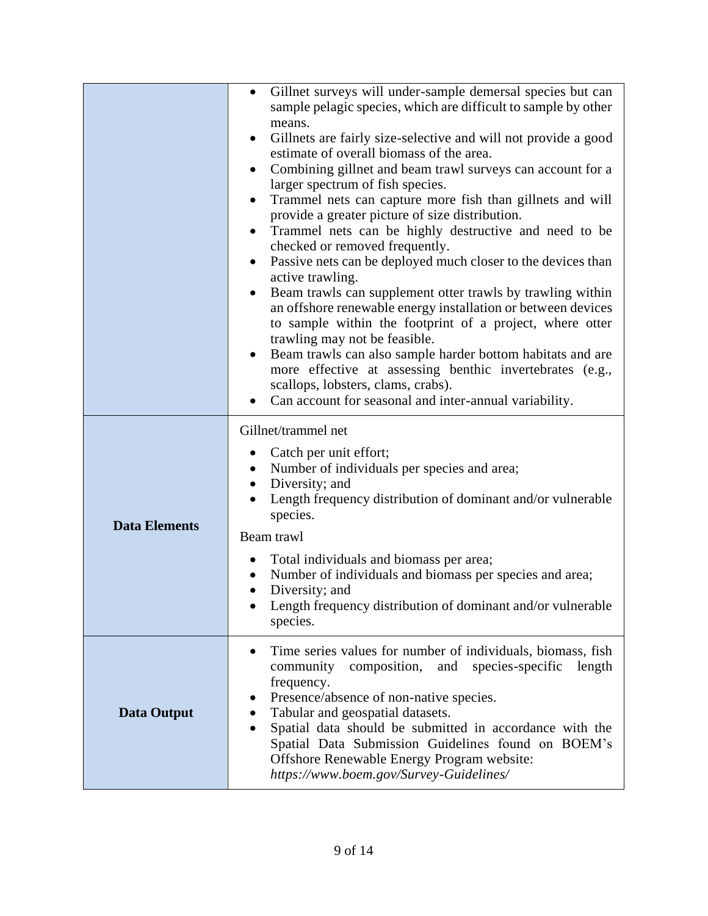|                      | Gillnet surveys will under-sample demersal species but can<br>$\bullet$<br>sample pelagic species, which are difficult to sample by other<br>means.<br>Gillnets are fairly size-selective and will not provide a good<br>estimate of overall biomass of the area.<br>Combining gillnet and beam trawl surveys can account for a<br>$\bullet$<br>larger spectrum of fish species.<br>Trammel nets can capture more fish than gillnets and will<br>provide a greater picture of size distribution.<br>Trammel nets can be highly destructive and need to be<br>checked or removed frequently.<br>Passive nets can be deployed much closer to the devices than<br>$\bullet$<br>active trawling.<br>Beam trawls can supplement otter trawls by trawling within<br>$\bullet$<br>an offshore renewable energy installation or between devices<br>to sample within the footprint of a project, where otter<br>trawling may not be feasible.<br>Beam trawls can also sample harder bottom habitats and are<br>more effective at assessing benthic invertebrates (e.g.,<br>scallops, lobsters, clams, crabs).<br>Can account for seasonal and inter-annual variability. |
|----------------------|----------------------------------------------------------------------------------------------------------------------------------------------------------------------------------------------------------------------------------------------------------------------------------------------------------------------------------------------------------------------------------------------------------------------------------------------------------------------------------------------------------------------------------------------------------------------------------------------------------------------------------------------------------------------------------------------------------------------------------------------------------------------------------------------------------------------------------------------------------------------------------------------------------------------------------------------------------------------------------------------------------------------------------------------------------------------------------------------------------------------------------------------------------------|
| <b>Data Elements</b> | Gillnet/trammel net<br>Catch per unit effort;<br>Number of individuals per species and area;<br>$\bullet$<br>Diversity; and<br>Length frequency distribution of dominant and/or vulnerable<br>species.<br>Beam trawl<br>Total individuals and biomass per area;<br>Number of individuals and biomass per species and area;<br>Diversity; and<br>Length frequency distribution of dominant and/or vulnerable<br>species.                                                                                                                                                                                                                                                                                                                                                                                                                                                                                                                                                                                                                                                                                                                                        |
| <b>Data Output</b>   | Time series values for number of individuals, biomass, fish<br>composition,<br>and<br>species-specific<br>community<br>length<br>frequency.<br>Presence/absence of non-native species.<br>Tabular and geospatial datasets.<br>Spatial data should be submitted in accordance with the<br>Spatial Data Submission Guidelines found on BOEM's<br>Offshore Renewable Energy Program website:<br>https://www.boem.gov/Survey-Guidelines/                                                                                                                                                                                                                                                                                                                                                                                                                                                                                                                                                                                                                                                                                                                           |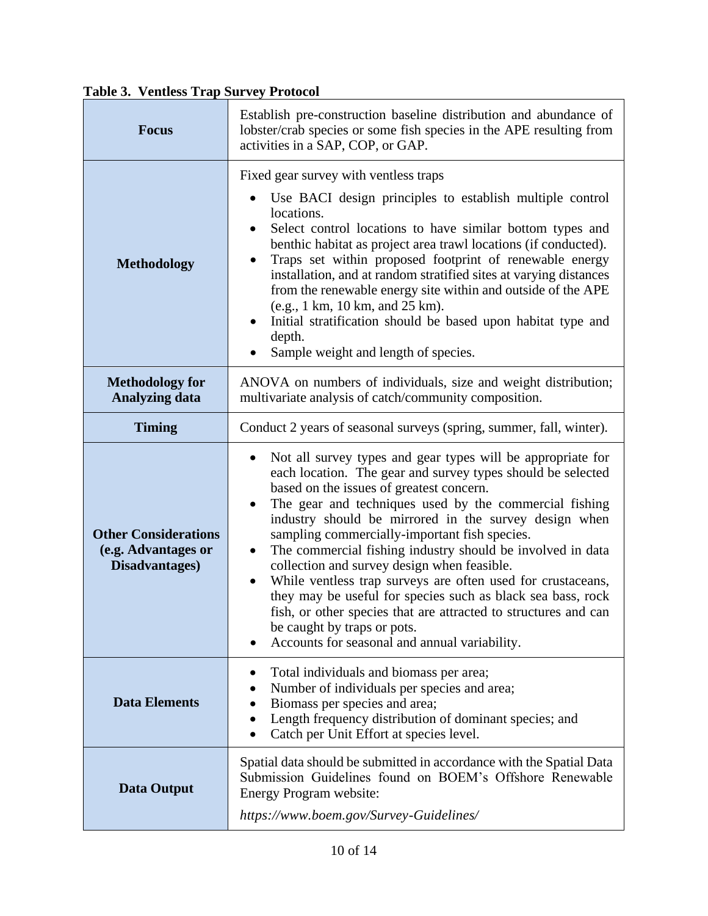**Table 3. Ventless Trap Survey Protocol**

| <b>Focus</b>                                                         | Establish pre-construction baseline distribution and abundance of<br>lobster/crab species or some fish species in the APE resulting from<br>activities in a SAP, COP, or GAP.                                                                                                                                                                                                                                                                                                                                                                                                                                                                                                                                                                                                                |  |
|----------------------------------------------------------------------|----------------------------------------------------------------------------------------------------------------------------------------------------------------------------------------------------------------------------------------------------------------------------------------------------------------------------------------------------------------------------------------------------------------------------------------------------------------------------------------------------------------------------------------------------------------------------------------------------------------------------------------------------------------------------------------------------------------------------------------------------------------------------------------------|--|
| <b>Methodology</b>                                                   | Fixed gear survey with ventless traps<br>Use BACI design principles to establish multiple control<br>locations.<br>Select control locations to have similar bottom types and<br>$\bullet$<br>benthic habitat as project area trawl locations (if conducted).<br>Traps set within proposed footprint of renewable energy<br>٠<br>installation, and at random stratified sites at varying distances<br>from the renewable energy site within and outside of the APE<br>(e.g., 1 km, 10 km, and 25 km).<br>Initial stratification should be based upon habitat type and<br>$\bullet$<br>depth.<br>Sample weight and length of species.                                                                                                                                                          |  |
| <b>Methodology for</b><br><b>Analyzing data</b>                      | ANOVA on numbers of individuals, size and weight distribution;<br>multivariate analysis of catch/community composition.                                                                                                                                                                                                                                                                                                                                                                                                                                                                                                                                                                                                                                                                      |  |
| <b>Timing</b>                                                        | Conduct 2 years of seasonal surveys (spring, summer, fall, winter).                                                                                                                                                                                                                                                                                                                                                                                                                                                                                                                                                                                                                                                                                                                          |  |
| <b>Other Considerations</b><br>(e.g. Advantages or<br>Disadvantages) | Not all survey types and gear types will be appropriate for<br>$\bullet$<br>each location. The gear and survey types should be selected<br>based on the issues of greatest concern.<br>The gear and techniques used by the commercial fishing<br>$\bullet$<br>industry should be mirrored in the survey design when<br>sampling commercially-important fish species.<br>The commercial fishing industry should be involved in data<br>$\bullet$<br>collection and survey design when feasible.<br>While ventless trap surveys are often used for crustaceans,<br>$\bullet$<br>they may be useful for species such as black sea bass, rock<br>fish, or other species that are attracted to structures and can<br>be caught by traps or pots.<br>Accounts for seasonal and annual variability. |  |
| <b>Data Elements</b>                                                 | Total individuals and biomass per area;<br>Number of individuals per species and area;<br>Biomass per species and area;<br>٠<br>Length frequency distribution of dominant species; and<br>٠<br>Catch per Unit Effort at species level.                                                                                                                                                                                                                                                                                                                                                                                                                                                                                                                                                       |  |
| <b>Data Output</b>                                                   | Spatial data should be submitted in accordance with the Spatial Data<br>Submission Guidelines found on BOEM's Offshore Renewable<br>Energy Program website:<br>https://www.boem.gov/Survey-Guidelines/                                                                                                                                                                                                                                                                                                                                                                                                                                                                                                                                                                                       |  |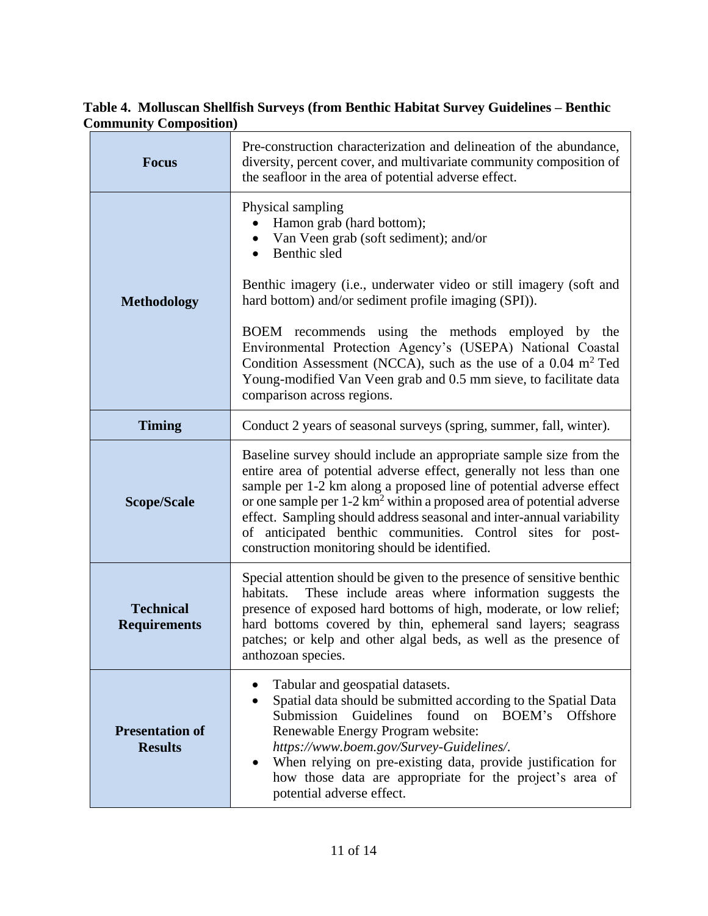# **Table 4. Molluscan Shellfish Surveys (from Benthic Habitat Survey Guidelines – Benthic Community Composition)**

| <b>Focus</b>                             | Pre-construction characterization and delineation of the abundance,<br>diversity, percent cover, and multivariate community composition of<br>the seafloor in the area of potential adverse effect.                                                                                                                                                                                                                                                                                                                                                   |  |
|------------------------------------------|-------------------------------------------------------------------------------------------------------------------------------------------------------------------------------------------------------------------------------------------------------------------------------------------------------------------------------------------------------------------------------------------------------------------------------------------------------------------------------------------------------------------------------------------------------|--|
| <b>Methodology</b>                       | Physical sampling<br>Hamon grab (hard bottom);<br>Van Veen grab (soft sediment); and/or<br>Benthic sled<br>$\bullet$<br>Benthic imagery (i.e., underwater video or still imagery (soft and<br>hard bottom) and/or sediment profile imaging (SPI)).<br>BOEM recommends using the methods employed by the<br>Environmental Protection Agency's (USEPA) National Coastal<br>Condition Assessment (NCCA), such as the use of a 0.04 m <sup>2</sup> Ted<br>Young-modified Van Veen grab and 0.5 mm sieve, to facilitate data<br>comparison across regions. |  |
| <b>Timing</b>                            | Conduct 2 years of seasonal surveys (spring, summer, fall, winter).                                                                                                                                                                                                                                                                                                                                                                                                                                                                                   |  |
| <b>Scope/Scale</b>                       | Baseline survey should include an appropriate sample size from the<br>entire area of potential adverse effect, generally not less than one<br>sample per 1-2 km along a proposed line of potential adverse effect<br>or one sample per $1-2 \text{ km}^2$ within a proposed area of potential adverse<br>effect. Sampling should address seasonal and inter-annual variability<br>of anticipated benthic communities. Control sites for post-<br>construction monitoring should be identified.                                                        |  |
| <b>Technical</b><br><b>Requirements</b>  | Special attention should be given to the presence of sensitive benthic<br>These include areas where information suggests the<br>habitats.<br>presence of exposed hard bottoms of high, moderate, or low relief;<br>hard bottoms covered by thin, ephemeral sand layers; seagrass<br>patches; or kelp and other algal beds, as well as the presence of<br>anthozoan species.                                                                                                                                                                           |  |
| <b>Presentation of</b><br><b>Results</b> | Tabular and geospatial datasets.<br>Spatial data should be submitted according to the Spatial Data<br>٠<br>Submission<br>Guidelines<br>found<br>on<br>BOEM's<br><b>Offshore</b><br>Renewable Energy Program website:<br>https://www.boem.gov/Survey-Guidelines/.<br>When relying on pre-existing data, provide justification for<br>how those data are appropriate for the project's area of<br>potential adverse effect.                                                                                                                             |  |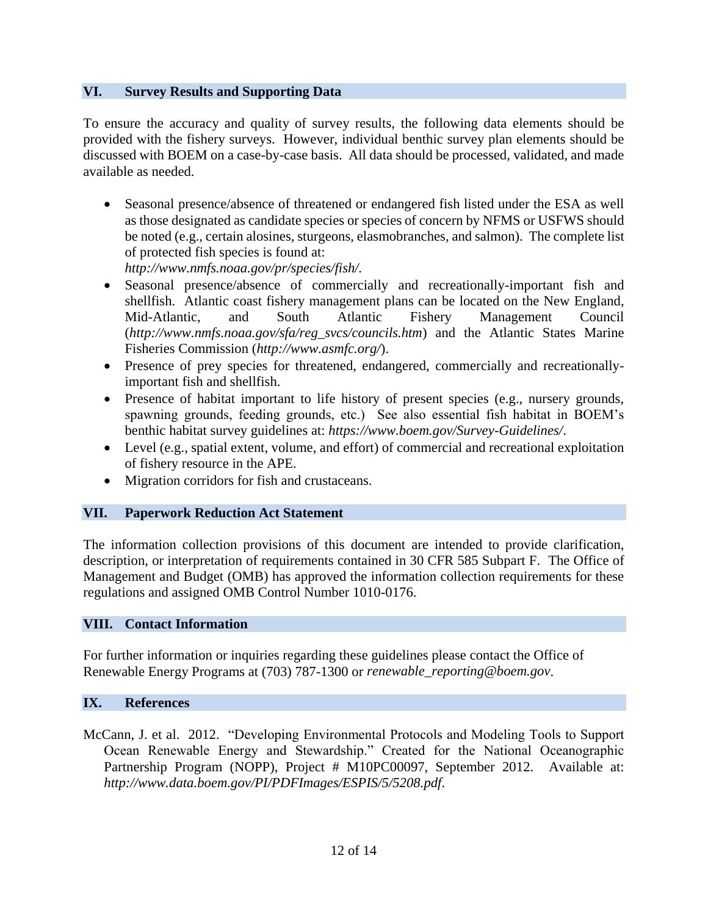### **VI. Survey Results and Supporting Data**

To ensure the accuracy and quality of survey results, the following data elements should be provided with the fishery surveys. However, individual benthic survey plan elements should be discussed with BOEM on a case-by-case basis. All data should be processed, validated, and made available as needed.

 Seasonal presence/absence of threatened or endangered fish listed under the ESA as well as those designated as candidate species or species of concern by NFMS or USFWS should be noted (e.g., certain alosines, sturgeons, elasmobranches, and salmon). The complete list of protected fish species is found at:

*http://www.nmfs.noaa.gov/pr/species/fish/.*

- Seasonal presence/absence of commercially and recreationally-important fish and shellfish. Atlantic coast fishery management plans can be located on the New England, Mid-Atlantic, and South Atlantic Fishery Management Council (*http://www.nmfs.noaa.gov/sfa/reg\_svcs/councils.htm*) and the Atlantic States Marine Fisheries Commission (*http://www.asmfc.org/*).
- Presence of prey species for threatened, endangered, commercially and recreationallyimportant fish and shellfish.
- Presence of habitat important to life history of present species (e.g., nursery grounds, spawning grounds, feeding grounds, etc.) See also essential fish habitat in BOEM's benthic habitat survey guidelines at: *https://www.boem.gov/Survey-Guidelines/*.
- Level (e.g., spatial extent, volume, and effort) of commercial and recreational exploitation of fishery resource in the APE.
- Migration corridors for fish and crustaceans.

### **VII. Paperwork Reduction Act Statement**

The information collection provisions of this document are intended to provide clarification, description, or interpretation of requirements contained in 30 CFR 585 Subpart F. The Office of Management and Budget (OMB) has approved the information collection requirements for these regulations and assigned OMB Control Number 1010-0176.

### **VIII. Contact Information**

For further information or inquiries regarding these guidelines please contact the Office of Renewable Energy Programs at (703) 787-1300 or *renewable\_reporting@boem.gov*.

#### **IX. References**

McCann, J. et al. 2012. "Developing Environmental Protocols and Modeling Tools to Support Ocean Renewable Energy and Stewardship." Created for the National Oceanographic Partnership Program (NOPP), Project # M10PC00097, September 2012. Available at: *http://www.data.boem.gov/PI/PDFImages/ESPIS/5/5208.pdf*.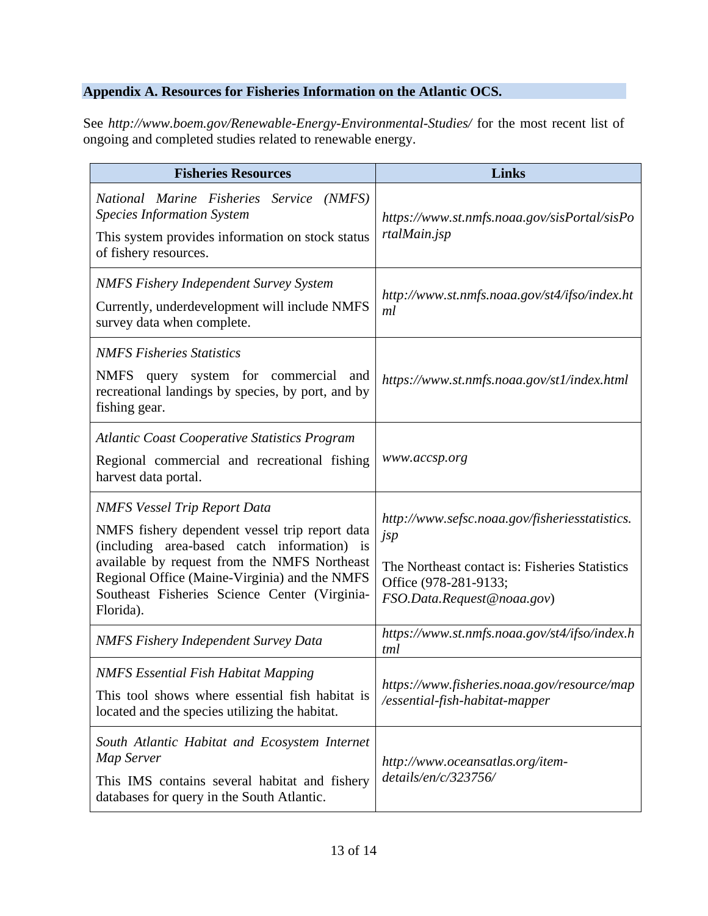### **Appendix A. Resources for Fisheries Information on the Atlantic OCS.**

See *http://www.boem.gov/Renewable-Energy-Environmental-Studies/* for the most recent list of ongoing and completed studies related to renewable energy.

| <b>Fisheries Resources</b>                                                                                                                                                                                                                                                                          | <b>Links</b>                                                                                                                                                   |
|-----------------------------------------------------------------------------------------------------------------------------------------------------------------------------------------------------------------------------------------------------------------------------------------------------|----------------------------------------------------------------------------------------------------------------------------------------------------------------|
| National Marine Fisheries Service (NMFS)<br><b>Species Information System</b><br>This system provides information on stock status<br>of fishery resources.                                                                                                                                          | https://www.st.nmfs.noaa.gov/sisPortal/sisPo<br>rtalMain.jsp                                                                                                   |
| <b>NMFS Fishery Independent Survey System</b><br>Currently, underdevelopment will include NMFS<br>survey data when complete.                                                                                                                                                                        | http://www.st.nmfs.noaa.gov/st4/ifso/index.ht<br>ml                                                                                                            |
| <b>NMFS Fisheries Statistics</b><br>NMFS query system for commercial and<br>recreational landings by species, by port, and by<br>fishing gear.                                                                                                                                                      | https://www.st.nmfs.noaa.gov/st1/index.html                                                                                                                    |
| <b>Atlantic Coast Cooperative Statistics Program</b><br>Regional commercial and recreational fishing<br>harvest data portal.                                                                                                                                                                        | www.accsp.org                                                                                                                                                  |
| <b>NMFS Vessel Trip Report Data</b><br>NMFS fishery dependent vessel trip report data<br>(including area-based catch information) is<br>available by request from the NMFS Northeast<br>Regional Office (Maine-Virginia) and the NMFS<br>Southeast Fisheries Science Center (Virginia-<br>Florida). | http://www.sefsc.noaa.gov/fisheriesstatistics.<br>jsp<br>The Northeast contact is: Fisheries Statistics<br>Office (978-281-9133;<br>FSO.Data.Request@noaa.gov) |
| <b>NMFS Fishery Independent Survey Data</b>                                                                                                                                                                                                                                                         | https://www.st.nmfs.noaa.gov/st4/ifso/index.h<br>tml                                                                                                           |
| <b>NMFS Essential Fish Habitat Mapping</b><br>This tool shows where essential fish habitat is<br>located and the species utilizing the habitat.                                                                                                                                                     | https://www.fisheries.noaa.gov/resource/map<br>/essential-fish-habitat-mapper                                                                                  |
| South Atlantic Habitat and Ecosystem Internet<br>Map Server<br>This IMS contains several habitat and fishery<br>databases for query in the South Atlantic.                                                                                                                                          | http://www.oceansatlas.org/item-<br>details/en/c/323756/                                                                                                       |